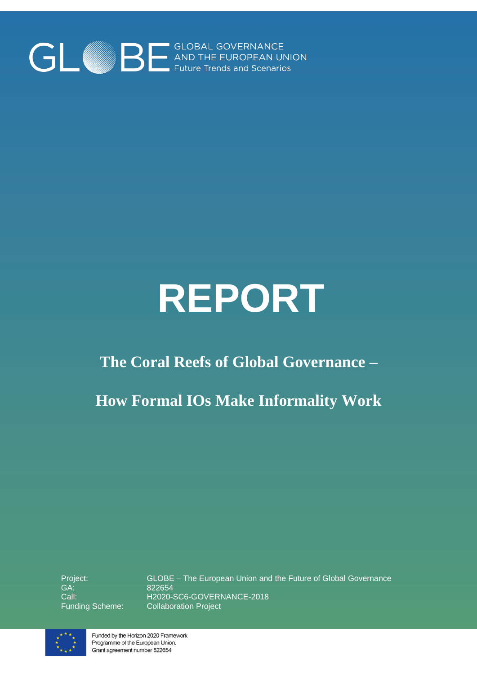

# **REPORT**

# **The Coral Reefs of Global Governance –**

# **How Formal IOs Make Informality Work**

Project: GA: Call:

Funding Scheme: Collaboration ProjectGLOBE – The European Union and the Future of Global Governance 822654 H2020-SC6-GOVERNANCE-2018



Funded by the Horizon 2020 Framework Programme of the European Union. Grant agreement number 822654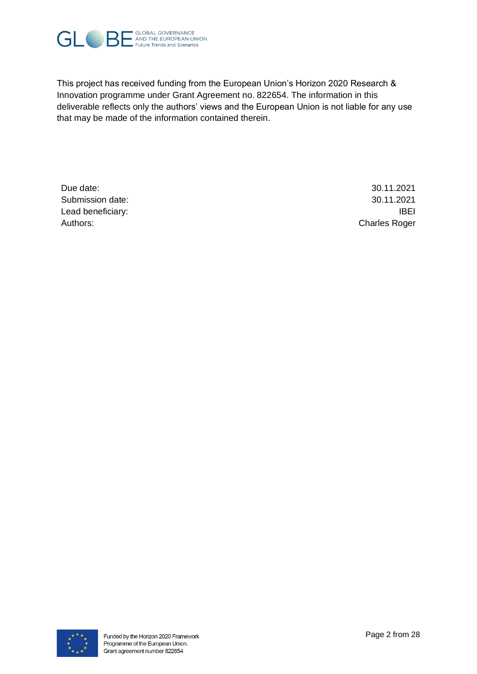

This project has received funding from the European Union's Horizon 2020 Research & Innovation programme under Grant Agreement no. 822654. The information in this deliverable reflects only the authors' views and the European Union is not liable for any use that may be made of the information contained therein.

Due date: 30.11.2021 Submission date: 30.11.2021 Lead beneficiary: IBEI Authors: Charles Roger

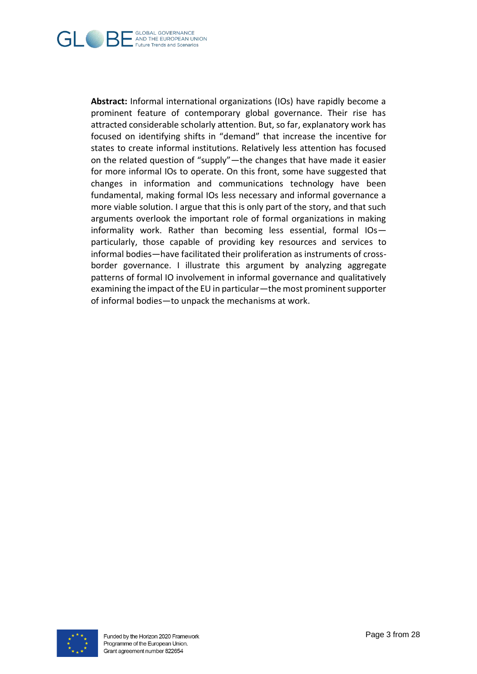

**Abstract:** Informal international organizations (IOs) have rapidly become a prominent feature of contemporary global governance. Their rise has attracted considerable scholarly attention. But, so far, explanatory work has focused on identifying shifts in "demand" that increase the incentive for states to create informal institutions. Relatively less attention has focused on the related question of "supply"—the changes that have made it easier for more informal IOs to operate. On this front, some have suggested that changes in information and communications technology have been fundamental, making formal IOs less necessary and informal governance a more viable solution. I argue that this is only part of the story, and that such arguments overlook the important role of formal organizations in making informality work. Rather than becoming less essential, formal IOs particularly, those capable of providing key resources and services to informal bodies—have facilitated their proliferation as instruments of crossborder governance. I illustrate this argument by analyzing aggregate patterns of formal IO involvement in informal governance and qualitatively examining the impact of the EU in particular—the most prominent supporter of informal bodies—to unpack the mechanisms at work.

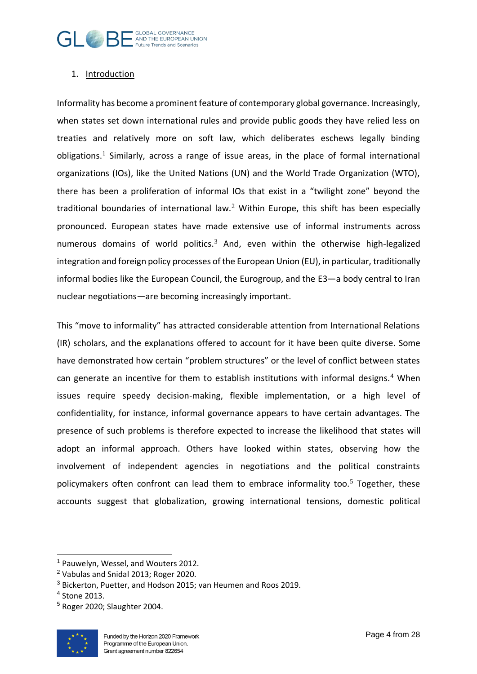

## 1. Introduction

Informality has become a prominent feature of contemporary global governance. Increasingly, when states set down international rules and provide public goods they have relied less on treaties and relatively more on soft law, which deliberates eschews legally binding obligations.<sup>1</sup> Similarly, across a range of issue areas, in the place of formal international organizations (IOs), like the United Nations (UN) and the World Trade Organization (WTO), there has been a proliferation of informal IOs that exist in a "twilight zone" beyond the traditional boundaries of international law.<sup>2</sup> Within Europe, this shift has been especially pronounced. European states have made extensive use of informal instruments across numerous domains of world politics.<sup>3</sup> And, even within the otherwise high-legalized integration and foreign policy processes of the European Union (EU), in particular, traditionally informal bodies like the European Council, the Eurogroup, and the E3—a body central to Iran nuclear negotiations—are becoming increasingly important.

This "move to informality" has attracted considerable attention from International Relations (IR) scholars, and the explanations offered to account for it have been quite diverse. Some have demonstrated how certain "problem structures" or the level of conflict between states can generate an incentive for them to establish institutions with informal designs.<sup>4</sup> When issues require speedy decision-making, flexible implementation, or a high level of confidentiality, for instance, informal governance appears to have certain advantages. The presence of such problems is therefore expected to increase the likelihood that states will adopt an informal approach. Others have looked within states, observing how the involvement of independent agencies in negotiations and the political constraints policymakers often confront can lead them to embrace informality too. $5$  Together, these accounts suggest that globalization, growing international tensions, domestic political

 $5$  Roger 2020: Slaughter 2004.



<sup>1</sup> Pauwelyn, Wessel, and Wouters 2012.

<sup>2</sup> Vabulas and Snidal 2013; Roger 2020.

<sup>3</sup> Bickerton, Puetter, and Hodson 2015; van Heumen and Roos 2019.

<sup>4</sup> Stone 2013.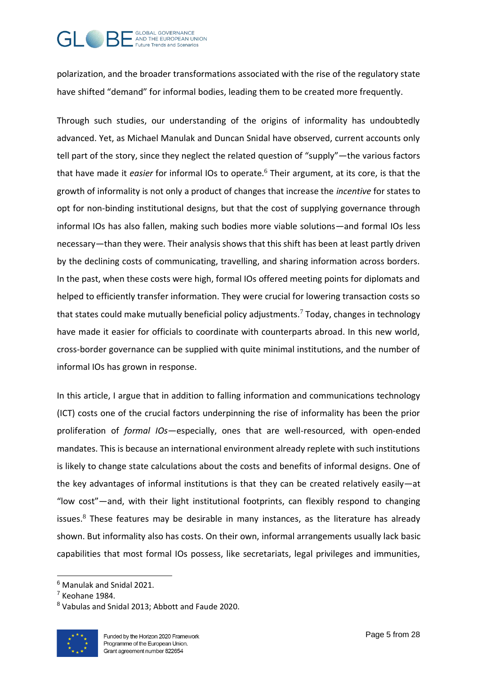

polarization, and the broader transformations associated with the rise of the regulatory state have shifted "demand" for informal bodies, leading them to be created more frequently.

Through such studies, our understanding of the origins of informality has undoubtedly advanced. Yet, as Michael Manulak and Duncan Snidal have observed, current accounts only tell part of the story, since they neglect the related question of "supply"—the various factors that have made it *easier* for informal IOs to operate.<sup>6</sup> Their argument, at its core, is that the growth of informality is not only a product of changes that increase the *incentive* for states to opt for non-binding institutional designs, but that the cost of supplying governance through informal IOs has also fallen, making such bodies more viable solutions—and formal IOs less necessary—than they were. Their analysis shows that this shift has been at least partly driven by the declining costs of communicating, travelling, and sharing information across borders. In the past, when these costs were high, formal IOs offered meeting points for diplomats and helped to efficiently transfer information. They were crucial for lowering transaction costs so that states could make mutually beneficial policy adjustments.<sup>7</sup> Today, changes in technology have made it easier for officials to coordinate with counterparts abroad. In this new world, cross-border governance can be supplied with quite minimal institutions, and the number of informal IOs has grown in response.

In this article, I argue that in addition to falling information and communications technology (ICT) costs one of the crucial factors underpinning the rise of informality has been the prior proliferation of *formal IOs*—especially, ones that are well-resourced, with open-ended mandates. This is because an international environment already replete with such institutions is likely to change state calculations about the costs and benefits of informal designs. One of the key advantages of informal institutions is that they can be created relatively easily—at "low cost"—and, with their light institutional footprints, can flexibly respond to changing issues. $8$  These features may be desirable in many instances, as the literature has already shown. But informality also has costs. On their own, informal arrangements usually lack basic capabilities that most formal IOs possess, like secretariats, legal privileges and immunities,

 $8$  Vabulas and Snidal 2013: Abbott and Faude 2020.



<sup>6</sup> Manulak and Snidal 2021.

 $<sup>7</sup>$  Keohane 1984.</sup>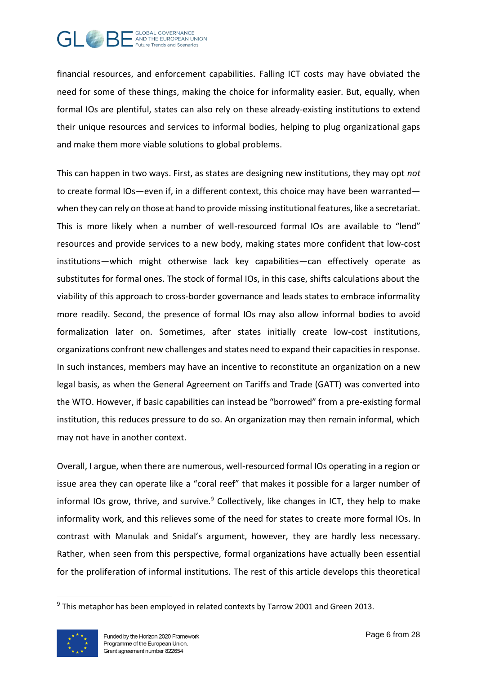

financial resources, and enforcement capabilities. Falling ICT costs may have obviated the need for some of these things, making the choice for informality easier. But, equally, when formal IOs are plentiful, states can also rely on these already-existing institutions to extend their unique resources and services to informal bodies, helping to plug organizational gaps and make them more viable solutions to global problems.

This can happen in two ways. First, as states are designing new institutions, they may opt *not*  to create formal IOs—even if, in a different context, this choice may have been warranted when they can rely on those at hand to provide missing institutional features, like a secretariat. This is more likely when a number of well-resourced formal IOs are available to "lend" resources and provide services to a new body, making states more confident that low-cost institutions—which might otherwise lack key capabilities—can effectively operate as substitutes for formal ones. The stock of formal IOs, in this case, shifts calculations about the viability of this approach to cross-border governance and leads states to embrace informality more readily. Second, the presence of formal IOs may also allow informal bodies to avoid formalization later on. Sometimes, after states initially create low-cost institutions, organizations confront new challenges and states need to expand their capacities in response. In such instances, members may have an incentive to reconstitute an organization on a new legal basis, as when the General Agreement on Tariffs and Trade (GATT) was converted into the WTO. However, if basic capabilities can instead be "borrowed" from a pre-existing formal institution, this reduces pressure to do so. An organization may then remain informal, which may not have in another context.

Overall, I argue, when there are numerous, well-resourced formal IOs operating in a region or issue area they can operate like a "coral reef" that makes it possible for a larger number of informal IOs grow, thrive, and survive.<sup>9</sup> Collectively, like changes in ICT, they help to make informality work, and this relieves some of the need for states to create more formal IOs. In contrast with Manulak and Snidal's argument, however, they are hardly less necessary. Rather, when seen from this perspective, formal organizations have actually been essential for the proliferation of informal institutions. The rest of this article develops this theoretical

 $9$  This metaphor has been employed in related contexts by Tarrow 2001 and Green 2013.

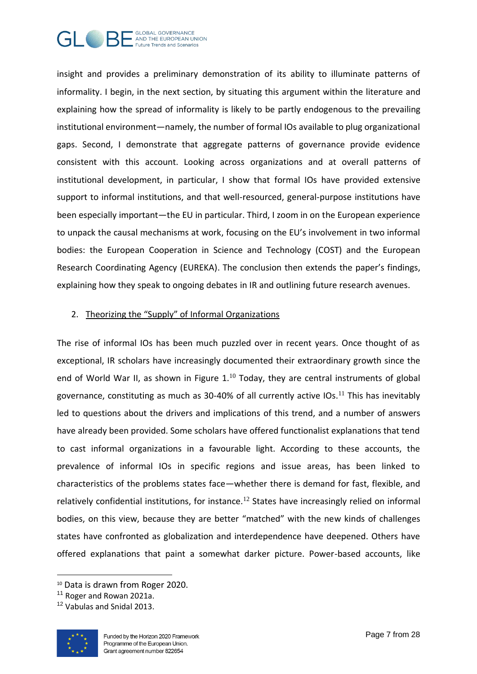

insight and provides a preliminary demonstration of its ability to illuminate patterns of informality. I begin, in the next section, by situating this argument within the literature and explaining how the spread of informality is likely to be partly endogenous to the prevailing institutional environment—namely, the number of formal IOs available to plug organizational gaps. Second, I demonstrate that aggregate patterns of governance provide evidence consistent with this account. Looking across organizations and at overall patterns of institutional development, in particular, I show that formal IOs have provided extensive support to informal institutions, and that well-resourced, general-purpose institutions have been especially important—the EU in particular. Third, I zoom in on the European experience to unpack the causal mechanisms at work, focusing on the EU's involvement in two informal bodies: the European Cooperation in Science and Technology (COST) and the European Research Coordinating Agency (EUREKA). The conclusion then extends the paper's findings, explaining how they speak to ongoing debates in IR and outlining future research avenues.

#### 2. Theorizing the "Supply" of Informal Organizations

The rise of informal IOs has been much puzzled over in recent years. Once thought of as exceptional, IR scholars have increasingly documented their extraordinary growth since the end of World War II, as shown in Figure  $1<sup>10</sup>$  Today, they are central instruments of global governance, constituting as much as 30-40% of all currently active IOs. $^{11}$  This has inevitably led to questions about the drivers and implications of this trend, and a number of answers have already been provided. Some scholars have offered functionalist explanations that tend to cast informal organizations in a favourable light. According to these accounts, the prevalence of informal IOs in specific regions and issue areas, has been linked to characteristics of the problems states face—whether there is demand for fast, flexible, and relatively confidential institutions, for instance.<sup>12</sup> States have increasingly relied on informal bodies, on this view, because they are better "matched" with the new kinds of challenges states have confronted as globalization and interdependence have deepened. Others have offered explanations that paint a somewhat darker picture. Power-based accounts, like

<sup>&</sup>lt;sup>12</sup> Vabulas and Snidal 2013.



<sup>10</sup> Data is drawn from Roger 2020.

<sup>&</sup>lt;sup>11</sup> Roger and Rowan 2021a.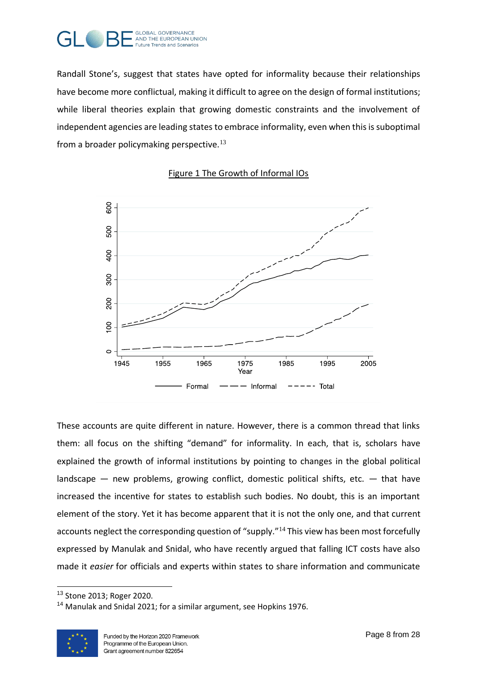

Randall Stone's, suggest that states have opted for informality because their relationships have become more conflictual, making it difficult to agree on the design of formal institutions; while liberal theories explain that growing domestic constraints and the involvement of independent agencies are leading states to embrace informality, even when this is suboptimal from a broader policymaking perspective.<sup>13</sup>



## Figure 1 The Growth of Informal IOs

These accounts are quite different in nature. However, there is a common thread that links them: all focus on the shifting "demand" for informality. In each, that is, scholars have explained the growth of informal institutions by pointing to changes in the global political landscape  $-$  new problems, growing conflict, domestic political shifts, etc.  $-$  that have increased the incentive for states to establish such bodies. No doubt, this is an important element of the story. Yet it has become apparent that it is not the only one, and that current accounts neglect the corresponding question of "supply."<sup>14</sup> This view has been most forcefully expressed by Manulak and Snidal, who have recently argued that falling ICT costs have also made it *easier* for officials and experts within states to share information and communicate

<sup>&</sup>lt;sup>14</sup> Manulak and Snidal 2021; for a similar argument, see Hopkins 1976.



<sup>13</sup> Stone 2013; Roger 2020.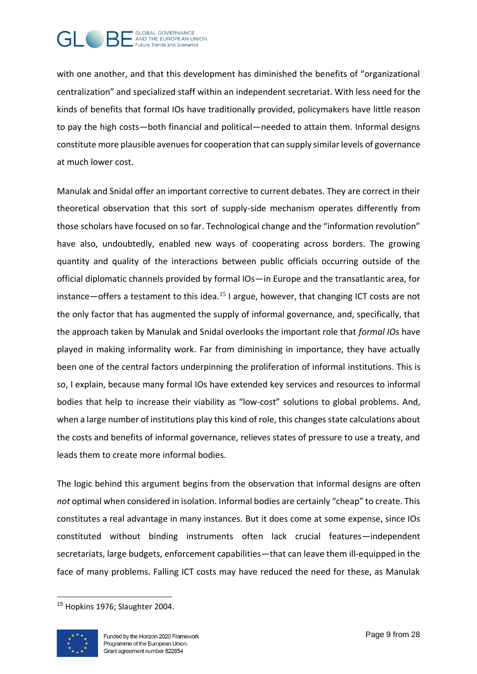

with one another, and that this development has diminished the benefits of "organizational centralization" and specialized staff within an independent secretariat. With less need for the kinds of benefits that formal IOs have traditionally provided, policymakers have little reason to pay the high costs—both financial and political—needed to attain them. Informal designs constitute more plausible avenues for cooperation that can supply similar levels of governance at much lower cost.

Manulak and Snidal offer an important corrective to current debates. They are correct in their theoretical observation that this sort of supply-side mechanism operates differently from those scholars have focused on so far. Technological change and the "information revolution" have also, undoubtedly, enabled new ways of cooperating across borders. The growing quantity and quality of the interactions between public officials occurring outside of the official diplomatic channels provided by formal IOs—in Europe and the transatlantic area, for instance—offers a testament to this idea.<sup>15</sup> I argue, however, that changing ICT costs are not the only factor that has augmented the supply of informal governance, and, specifically, that the approach taken by Manulak and Snidal overlooks the important role that *formal IOs* have played in making informality work. Far from diminishing in importance, they have actually been one of the central factors underpinning the proliferation of informal institutions. This is so, I explain, because many formal IOs have extended key services and resources to informal bodies that help to increase their viability as "low-cost" solutions to global problems. And, when a large number of institutions play this kind of role, this changes state calculations about the costs and benefits of informal governance, relieves states of pressure to use a treaty, and leads them to create more informal bodies.

The logic behind this argument begins from the observation that informal designs are often *not* optimal when considered in isolation. Informal bodies are certainly "cheap" to create. This constitutes a real advantage in many instances. But it does come at some expense, since IOs constituted without binding instruments often lack crucial features—independent secretariats, large budgets, enforcement capabilities—that can leave them ill-equipped in the face of many problems. Falling ICT costs may have reduced the need for these, as Manulak

<sup>&</sup>lt;sup>15</sup> Hopkins 1976; Slaughter 2004.

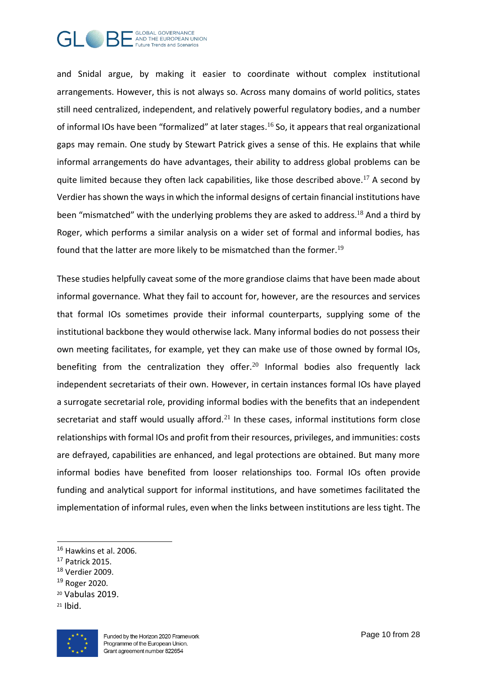

and Snidal argue, by making it easier to coordinate without complex institutional arrangements. However, this is not always so. Across many domains of world politics, states still need centralized, independent, and relatively powerful regulatory bodies, and a number of informal IOs have been "formalized" at later stages.<sup>16</sup> So, it appears that real organizational gaps may remain. One study by Stewart Patrick gives a sense of this. He explains that while informal arrangements do have advantages, their ability to address global problems can be quite limited because they often lack capabilities, like those described above.<sup>17</sup> A second by Verdier has shown the ways in which the informal designs of certain financial institutions have been "mismatched" with the underlying problems they are asked to address.<sup>18</sup> And a third by Roger, which performs a similar analysis on a wider set of formal and informal bodies, has found that the latter are more likely to be mismatched than the former.<sup>19</sup>

These studies helpfully caveat some of the more grandiose claims that have been made about informal governance. What they fail to account for, however, are the resources and services that formal IOs sometimes provide their informal counterparts, supplying some of the institutional backbone they would otherwise lack. Many informal bodies do not possess their own meeting facilitates, for example, yet they can make use of those owned by formal IOs, benefiting from the centralization they offer.<sup>20</sup> Informal bodies also frequently lack independent secretariats of their own. However, in certain instances formal IOs have played a surrogate secretarial role, providing informal bodies with the benefits that an independent secretariat and staff would usually afford. $21$  In these cases, informal institutions form close relationships with formal IOs and profit from their resources, privileges, and immunities: costs are defrayed, capabilities are enhanced, and legal protections are obtained. But many more informal bodies have benefited from looser relationships too. Formal IOs often provide funding and analytical support for informal institutions, and have sometimes facilitated the implementation of informal rules, even when the links between institutions are less tight. The

<sup>18</sup> Verdier 2009.

<sup>21</sup> Ibid.



<sup>&</sup>lt;sup>16</sup> Hawkins et al. 2006.

<sup>17</sup> Patrick 2015.

<sup>19</sup> Roger 2020.

<sup>20</sup> Vabulas 2019.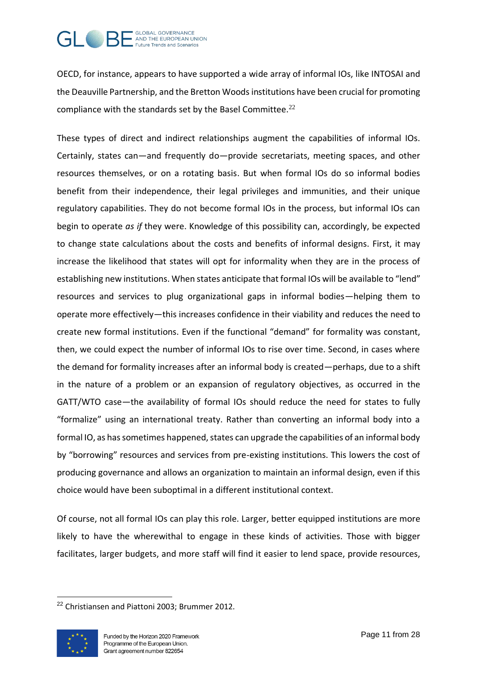

OECD, for instance, appears to have supported a wide array of informal IOs, like INTOSAI and the Deauville Partnership, and the Bretton Woods institutions have been crucial for promoting compliance with the standards set by the Basel Committee. $^{22}$ 

These types of direct and indirect relationships augment the capabilities of informal IOs. Certainly, states can—and frequently do—provide secretariats, meeting spaces, and other resources themselves, or on a rotating basis. But when formal IOs do so informal bodies benefit from their independence, their legal privileges and immunities, and their unique regulatory capabilities. They do not become formal IOs in the process, but informal IOs can begin to operate *as if* they were. Knowledge of this possibility can, accordingly, be expected to change state calculations about the costs and benefits of informal designs. First, it may increase the likelihood that states will opt for informality when they are in the process of establishing new institutions. When states anticipate that formal IOs will be available to "lend" resources and services to plug organizational gaps in informal bodies—helping them to operate more effectively—this increases confidence in their viability and reduces the need to create new formal institutions. Even if the functional "demand" for formality was constant, then, we could expect the number of informal IOs to rise over time. Second, in cases where the demand for formality increases after an informal body is created—perhaps, due to a shift in the nature of a problem or an expansion of regulatory objectives, as occurred in the GATT/WTO case—the availability of formal IOs should reduce the need for states to fully "formalize" using an international treaty. Rather than converting an informal body into a formal IO, as has sometimes happened, states can upgrade the capabilities of an informal body by "borrowing" resources and services from pre-existing institutions. This lowers the cost of producing governance and allows an organization to maintain an informal design, even if this choice would have been suboptimal in a different institutional context.

Of course, not all formal IOs can play this role. Larger, better equipped institutions are more likely to have the wherewithal to engage in these kinds of activities. Those with bigger facilitates, larger budgets, and more staff will find it easier to lend space, provide resources,

<sup>22</sup> Christiansen and Piattoni 2003; Brummer 2012.

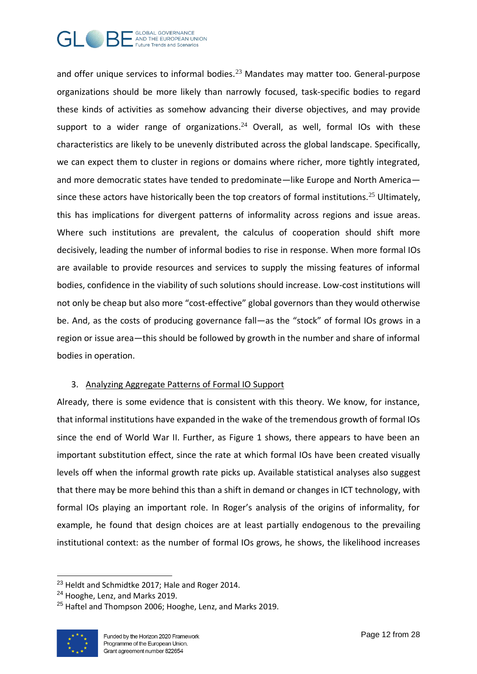

and offer unique services to informal bodies.<sup>23</sup> Mandates may matter too. General-purpose organizations should be more likely than narrowly focused, task-specific bodies to regard these kinds of activities as somehow advancing their diverse objectives, and may provide support to a wider range of organizations. $24$  Overall, as well, formal IOs with these characteristics are likely to be unevenly distributed across the global landscape. Specifically, we can expect them to cluster in regions or domains where richer, more tightly integrated, and more democratic states have tended to predominate—like Europe and North America since these actors have historically been the top creators of formal institutions.<sup>25</sup> Ultimately, this has implications for divergent patterns of informality across regions and issue areas. Where such institutions are prevalent, the calculus of cooperation should shift more decisively, leading the number of informal bodies to rise in response. When more formal IOs are available to provide resources and services to supply the missing features of informal bodies, confidence in the viability of such solutions should increase. Low-cost institutions will not only be cheap but also more "cost-effective" global governors than they would otherwise be. And, as the costs of producing governance fall—as the "stock" of formal IOs grows in a region or issue area—this should be followed by growth in the number and share of informal bodies in operation.

#### 3. Analyzing Aggregate Patterns of Formal IO Support

Already, there is some evidence that is consistent with this theory. We know, for instance, that informal institutions have expanded in the wake of the tremendous growth of formal IOs since the end of World War II. Further, as Figure 1 shows, there appears to have been an important substitution effect, since the rate at which formal IOs have been created visually levels off when the informal growth rate picks up. Available statistical analyses also suggest that there may be more behind this than a shift in demand or changes in ICT technology, with formal IOs playing an important role. In Roger's analysis of the origins of informality, for example, he found that design choices are at least partially endogenous to the prevailing institutional context: as the number of formal IOs grows, he shows, the likelihood increases

 $25$  Haftel and Thompson 2006: Hooghe, Lenz, and Marks 2019.



<sup>&</sup>lt;sup>23</sup> Heldt and Schmidtke 2017; Hale and Roger 2014.

<sup>&</sup>lt;sup>24</sup> Hooghe, Lenz, and Marks 2019.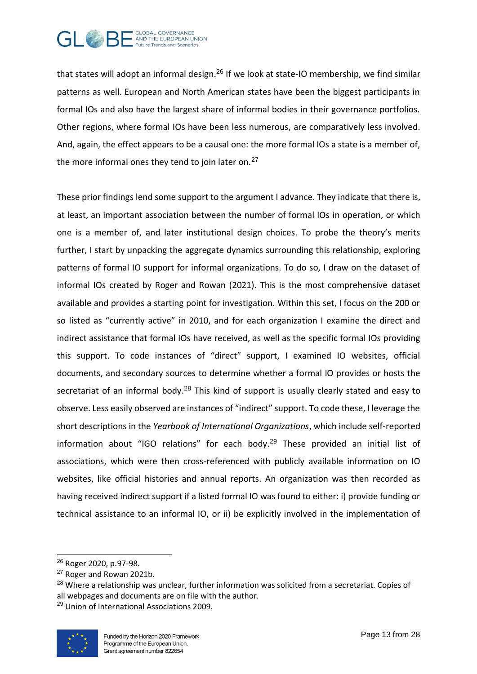

that states will adopt an informal design.<sup>26</sup> If we look at state-IO membership, we find similar patterns as well. European and North American states have been the biggest participants in formal IOs and also have the largest share of informal bodies in their governance portfolios. Other regions, where formal IOs have been less numerous, are comparatively less involved. And, again, the effect appears to be a causal one: the more formal IOs a state is a member of, the more informal ones they tend to join later on. $27$ 

These prior findings lend some support to the argument I advance. They indicate that there is, at least, an important association between the number of formal IOs in operation, or which one is a member of, and later institutional design choices. To probe the theory's merits further, I start by unpacking the aggregate dynamics surrounding this relationship, exploring patterns of formal IO support for informal organizations. To do so, I draw on the dataset of informal IOs created by Roger and Rowan (2021). This is the most comprehensive dataset available and provides a starting point for investigation. Within this set, I focus on the 200 or so listed as "currently active" in 2010, and for each organization I examine the direct and indirect assistance that formal IOs have received, as well as the specific formal IOs providing this support. To code instances of "direct" support, I examined IO websites, official documents, and secondary sources to determine whether a formal IO provides or hosts the secretariat of an informal body.<sup>28</sup> This kind of support is usually clearly stated and easy to observe. Less easily observed are instances of "indirect" support. To code these, I leverage the short descriptions in the *Yearbook of International Organizations*, which include self-reported information about "IGO relations" for each body. $29$  These provided an initial list of associations, which were then cross-referenced with publicly available information on IO websites, like official histories and annual reports. An organization was then recorded as having received indirect support if a listed formal IO was found to either: i) provide funding or technical assistance to an informal IO, or ii) be explicitly involved in the implementation of

<sup>29</sup> Union of International Associations 2009.



<sup>26</sup> Roger 2020, p.97-98.

<sup>27</sup> Roger and Rowan 2021b.

<sup>&</sup>lt;sup>28</sup> Where a relationship was unclear, further information was solicited from a secretariat. Copies of all webpages and documents are on file with the author.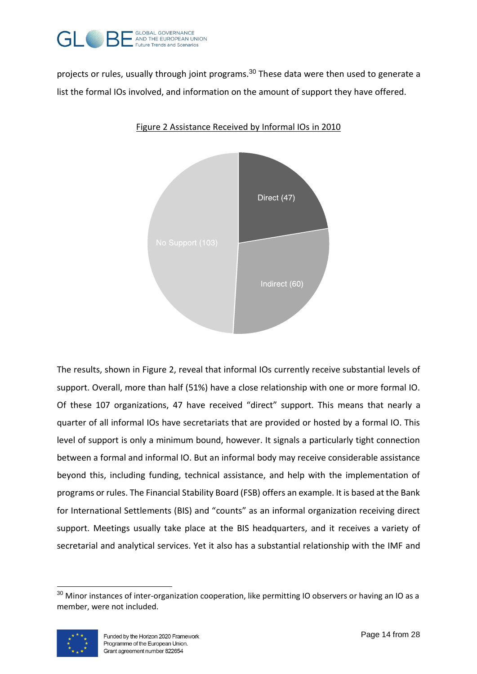

projects or rules, usually through joint programs.<sup>30</sup> These data were then used to generate a list the formal IOs involved, and information on the amount of support they have offered.



Figure 2 Assistance Received by Informal IOs in 2010

The results, shown in Figure 2, reveal that informal IOs currently receive substantial levels of support. Overall, more than half (51%) have a close relationship with one or more formal IO. Of these 107 organizations, 47 have received "direct" support. This means that nearly a quarter of all informal IOs have secretariats that are provided or hosted by a formal IO. This level of support is only a minimum bound, however. It signals a particularly tight connection between a formal and informal IO. But an informal body may receive considerable assistance beyond this, including funding, technical assistance, and help with the implementation of programs or rules. The Financial Stability Board (FSB) offers an example. It is based at the Bank for International Settlements (BIS) and "counts" as an informal organization receiving direct support. Meetings usually take place at the BIS headquarters, and it receives a variety of secretarial and analytical services. Yet it also has a substantial relationship with the IMF and

<sup>&</sup>lt;sup>30</sup> Minor instances of inter-organization cooperation, like permitting IO observers or having an IO as a member, were not included.

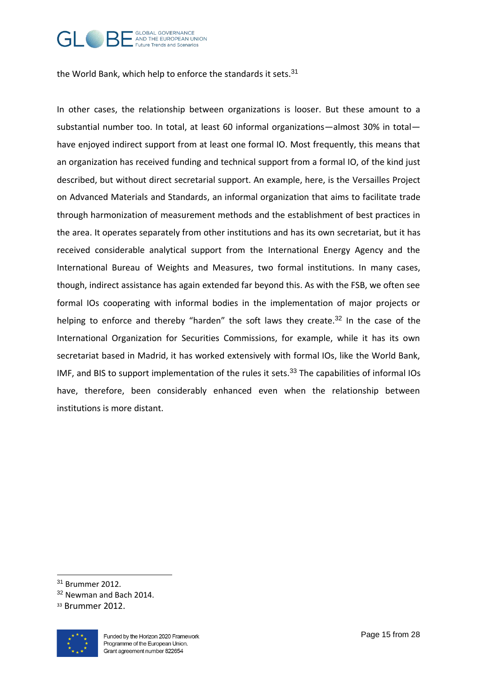

the World Bank, which help to enforce the standards it sets.<sup>31</sup>

In other cases, the relationship between organizations is looser. But these amount to a substantial number too. In total, at least 60 informal organizations—almost 30% in total have enjoyed indirect support from at least one formal IO. Most frequently, this means that an organization has received funding and technical support from a formal IO, of the kind just described, but without direct secretarial support. An example, here, is the Versailles Project on Advanced Materials and Standards, an informal organization that aims to facilitate trade through harmonization of measurement methods and the establishment of best practices in the area. It operates separately from other institutions and has its own secretariat, but it has received considerable analytical support from the International Energy Agency and the International Bureau of Weights and Measures, two formal institutions. In many cases, though, indirect assistance has again extended far beyond this. As with the FSB, we often see formal IOs cooperating with informal bodies in the implementation of major projects or helping to enforce and thereby "harden" the soft laws they create.<sup>32</sup> In the case of the International Organization for Securities Commissions, for example, while it has its own secretariat based in Madrid, it has worked extensively with formal IOs, like the World Bank, IMF, and BIS to support implementation of the rules it sets.<sup>33</sup> The capabilities of informal IOs have, therefore, been considerably enhanced even when the relationship between institutions is more distant.

<sup>33</sup> Brummer 2012.



<sup>31</sup> Brummer 2012.

<sup>&</sup>lt;sup>32</sup> Newman and Bach 2014.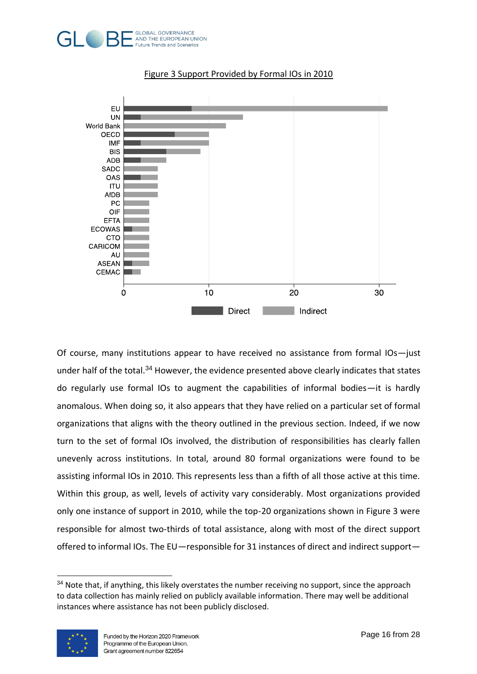



#### Figure 3 Support Provided by Formal IOs in 2010

Of course, many institutions appear to have received no assistance from formal IOs—just under half of the total.<sup>34</sup> However, the evidence presented above clearly indicates that states do regularly use formal IOs to augment the capabilities of informal bodies—it is hardly anomalous. When doing so, it also appears that they have relied on a particular set of formal organizations that aligns with the theory outlined in the previous section. Indeed, if we now turn to the set of formal IOs involved, the distribution of responsibilities has clearly fallen unevenly across institutions. In total, around 80 formal organizations were found to be assisting informal IOs in 2010. This represents less than a fifth of all those active at this time. Within this group, as well, levels of activity vary considerably. Most organizations provided only one instance of support in 2010, while the top-20 organizations shown in Figure 3 were responsible for almost two-thirds of total assistance, along with most of the direct support offered to informal IOs. The EU—responsible for 31 instances of direct and indirect support—

<sup>&</sup>lt;sup>34</sup> Note that, if anything, this likely overstates the number receiving no support, since the approach to data collection has mainly relied on publicly available information. There may well be additional instances where assistance has not been publicly disclosed.

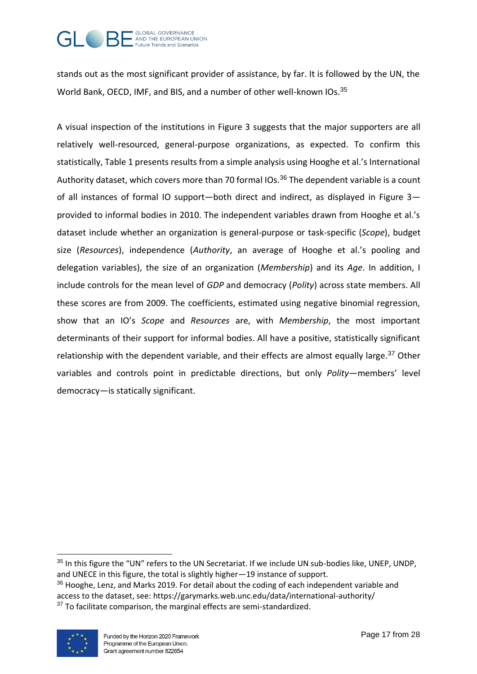

stands out as the most significant provider of assistance, by far. It is followed by the UN, the World Bank, OECD, IMF, and BIS, and a number of other well-known IOs.<sup>35</sup>

A visual inspection of the institutions in Figure 3 suggests that the major supporters are all relatively well-resourced, general-purpose organizations, as expected. To confirm this statistically, Table 1 presents results from a simple analysis using Hooghe et al.'s International Authority dataset, which covers more than 70 formal IOs.<sup>36</sup> The dependent variable is a count of all instances of formal IO support—both direct and indirect, as displayed in Figure 3 provided to informal bodies in 2010. The independent variables drawn from Hooghe et al.'s dataset include whether an organization is general-purpose or task-specific (*Scope*), budget size (*Resources*), independence (*Authority*, an average of Hooghe et al.'s pooling and delegation variables), the size of an organization (*Membership*) and its *Age*. In addition, I include controls for the mean level of *GDP* and democracy (*Polity*) across state members. All these scores are from 2009. The coefficients, estimated using negative binomial regression, show that an IO's *Scope* and *Resources* are, with *Membership*, the most important determinants of their support for informal bodies. All have a positive, statistically significant relationship with the dependent variable, and their effects are almost equally large. $37$  Other variables and controls point in predictable directions, but only *Polity*—members' level democracy—is statically significant.

<sup>&</sup>lt;sup>36</sup> Hooghe, Lenz, and Marks 2019. For detail about the coding of each independent variable and access to the dataset, see: https://garymarks.web.unc.edu/data/international-authority/ <sup>37</sup> To facilitate comparison, the marginal effects are semi-standardized.



<sup>&</sup>lt;sup>35</sup> In this figure the "UN" refers to the UN Secretariat. If we include UN sub-bodies like, UNEP, UNDP, and UNECE in this figure, the total is slightly higher—19 instance of support.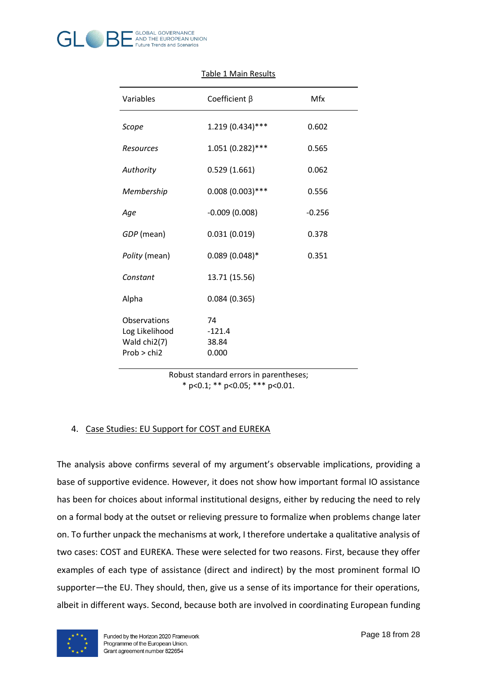

| Variables                                                     | Coefficient $\beta$              | Mfx      |
|---------------------------------------------------------------|----------------------------------|----------|
| Scope                                                         | 1.219 (0.434)***                 | 0.602    |
| Resources                                                     | 1.051 (0.282)***                 | 0.565    |
| Authority                                                     | 0.529(1.661)                     | 0.062    |
| Membership                                                    | $0.008(0.003)$ ***               | 0.556    |
| Age                                                           | $-0.009(0.008)$                  | $-0.256$ |
| GDP (mean)                                                    | 0.031(0.019)                     | 0.378    |
| Polity (mean)                                                 | $0.089(0.048)*$                  | 0.351    |
| Constant                                                      | 13.71 (15.56)                    |          |
| Alpha                                                         | 0.084(0.365)                     |          |
| Observations<br>Log Likelihood<br>Wald chi2(7)<br>Prob > chi2 | 74<br>$-121.4$<br>38.84<br>0.000 |          |

### Table 1 Main Results

Robust standard errors in parentheses; \* p<0.1; \*\* p<0.05; \*\*\* p<0.01.

### 4. Case Studies: EU Support for COST and EUREKA

The analysis above confirms several of my argument's observable implications, providing a base of supportive evidence. However, it does not show how important formal IO assistance has been for choices about informal institutional designs, either by reducing the need to rely on a formal body at the outset or relieving pressure to formalize when problems change later on. To further unpack the mechanisms at work, I therefore undertake a qualitative analysis of two cases: COST and EUREKA. These were selected for two reasons. First, because they offer examples of each type of assistance (direct and indirect) by the most prominent formal IO supporter—the EU. They should, then, give us a sense of its importance for their operations, albeit in different ways. Second, because both are involved in coordinating European funding

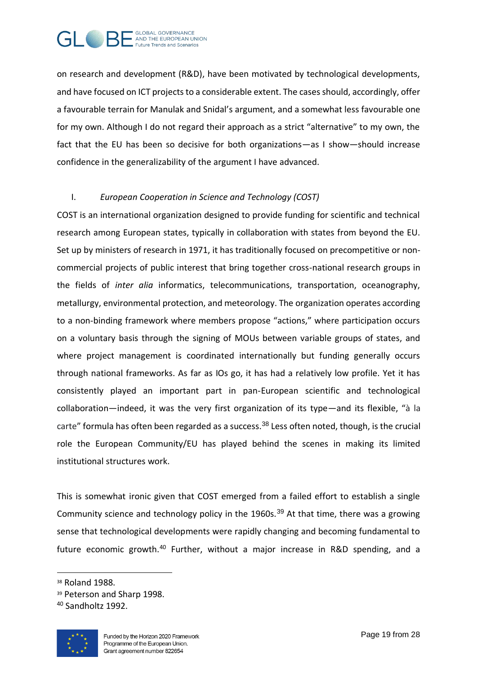

on research and development (R&D), have been motivated by technological developments, and have focused on ICT projects to a considerable extent. The cases should, accordingly, offer a favourable terrain for Manulak and Snidal's argument, and a somewhat less favourable one for my own. Although I do not regard their approach as a strict "alternative" to my own, the fact that the EU has been so decisive for both organizations—as I show—should increase confidence in the generalizability of the argument I have advanced.

#### I. *European Cooperation in Science and Technology (COST)*

COST is an international organization designed to provide funding for scientific and technical research among European states, typically in collaboration with states from beyond the EU. Set up by ministers of research in 1971, it has traditionally focused on precompetitive or noncommercial projects of public interest that bring together cross-national research groups in the fields of *inter alia* informatics, telecommunications, transportation, oceanography, metallurgy, environmental protection, and meteorology. The organization operates according to a non-binding framework where members propose "actions," where participation occurs on a voluntary basis through the signing of MOUs between variable groups of states, and where project management is coordinated internationally but funding generally occurs through national frameworks. As far as IOs go, it has had a relatively low profile. Yet it has consistently played an important part in pan-European scientific and technological collaboration—indeed, it was the very first organization of its type—and its flexible, "à la carte" formula has often been regarded as a success.<sup>38</sup> Less often noted, though, is the crucial role the European Community/EU has played behind the scenes in making its limited institutional structures work.

This is somewhat ironic given that COST emerged from a failed effort to establish a single Community science and technology policy in the 1960s.<sup>39</sup> At that time, there was a growing sense that technological developments were rapidly changing and becoming fundamental to future economic growth.<sup>40</sup> Further, without a major increase in R&D spending, and a

<sup>40</sup> Sandholtz 1992.



<sup>38</sup> Roland 1988.

<sup>39</sup> Peterson and Sharp 1998.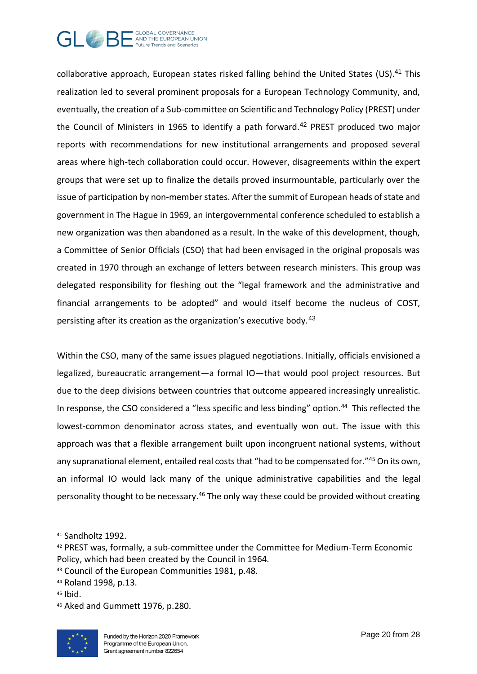

collaborative approach, European states risked falling behind the United States (US).<sup>41</sup> This realization led to several prominent proposals for a European Technology Community, and, eventually, the creation of a Sub-committee on Scientific and Technology Policy (PREST) under the Council of Ministers in 1965 to identify a path forward.<sup>42</sup> PREST produced two major reports with recommendations for new institutional arrangements and proposed several areas where high-tech collaboration could occur. However, disagreements within the expert groups that were set up to finalize the details proved insurmountable, particularly over the issue of participation by non-member states. After the summit of European heads of state and government in The Hague in 1969, an intergovernmental conference scheduled to establish a new organization was then abandoned as a result. In the wake of this development, though, a Committee of Senior Officials (CSO) that had been envisaged in the original proposals was created in 1970 through an exchange of letters between research ministers. This group was delegated responsibility for fleshing out the "legal framework and the administrative and financial arrangements to be adopted" and would itself become the nucleus of COST, persisting after its creation as the organization's executive body.<sup>43</sup>

Within the CSO, many of the same issues plagued negotiations. Initially, officials envisioned a legalized, bureaucratic arrangement—a formal IO—that would pool project resources. But due to the deep divisions between countries that outcome appeared increasingly unrealistic. In response, the CSO considered a "less specific and less binding" option.<sup>44</sup> This reflected the lowest-common denominator across states, and eventually won out. The issue with this approach was that a flexible arrangement built upon incongruent national systems, without any supranational element, entailed real costs that "had to be compensated for."<sup>45</sup> On its own, an informal IO would lack many of the unique administrative capabilities and the legal personality thought to be necessary.<sup>46</sup> The only way these could be provided without creating

<sup>46</sup> Aked and Gummett 1976, p.280.



<sup>41</sup> Sandholtz 1992.

<sup>42</sup> PREST was, formally, a sub-committee under the Committee for Medium-Term Economic Policy, which had been created by the Council in 1964.

<sup>43</sup> Council of the European Communities 1981, p.48.

<sup>44</sup> Roland 1998, p.13.

 $45$  Ibid.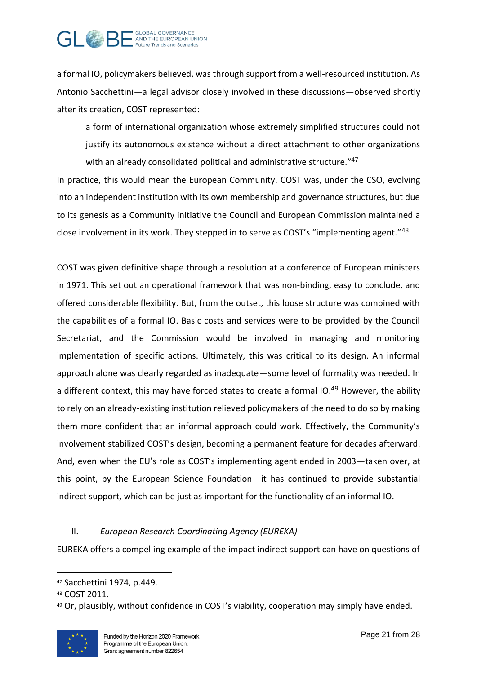

a formal IO, policymakers believed, was through support from a well-resourced institution. As Antonio Sacchettini—a legal advisor closely involved in these discussions—observed shortly after its creation, COST represented:

a form of international organization whose extremely simplified structures could not justify its autonomous existence without a direct attachment to other organizations with an already consolidated political and administrative structure."47

In practice, this would mean the European Community. COST was, under the CSO, evolving into an independent institution with its own membership and governance structures, but due to its genesis as a Community initiative the Council and European Commission maintained a close involvement in its work. They stepped in to serve as COST's "implementing agent."<sup>48</sup>

COST was given definitive shape through a resolution at a conference of European ministers in 1971. This set out an operational framework that was non-binding, easy to conclude, and offered considerable flexibility. But, from the outset, this loose structure was combined with the capabilities of a formal IO. Basic costs and services were to be provided by the Council Secretariat, and the Commission would be involved in managing and monitoring implementation of specific actions. Ultimately, this was critical to its design. An informal approach alone was clearly regarded as inadequate—some level of formality was needed. In a different context, this may have forced states to create a formal IO.<sup>49</sup> However, the ability to rely on an already-existing institution relieved policymakers of the need to do so by making them more confident that an informal approach could work. Effectively, the Community's involvement stabilized COST's design, becoming a permanent feature for decades afterward. And, even when the EU's role as COST's implementing agent ended in 2003—taken over, at this point, by the European Science Foundation—it has continued to provide substantial indirect support, which can be just as important for the functionality of an informal IO.

### II. *European Research Coordinating Agency (EUREKA)*

EUREKA offers a compelling example of the impact indirect support can have on questions of

<sup>49</sup> Or, plausibly, without confidence in COST's viability, cooperation may simply have ended.



<sup>47</sup> Sacchettini 1974, p.449.

<sup>48</sup> COST 2011.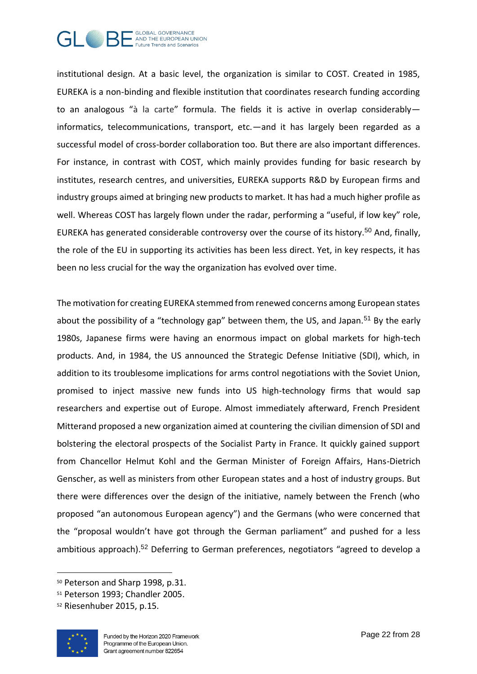

institutional design. At a basic level, the organization is similar to COST. Created in 1985, EUREKA is a non-binding and flexible institution that coordinates research funding according to an analogous "à la carte" formula. The fields it is active in overlap considerably informatics, telecommunications, transport, etc.—and it has largely been regarded as a successful model of cross-border collaboration too. But there are also important differences. For instance, in contrast with COST, which mainly provides funding for basic research by institutes, research centres, and universities, EUREKA supports R&D by European firms and industry groups aimed at bringing new products to market. It has had a much higher profile as well. Whereas COST has largely flown under the radar, performing a "useful, if low key" role, EUREKA has generated considerable controversy over the course of its history.<sup>50</sup> And, finally, the role of the EU in supporting its activities has been less direct. Yet, in key respects, it has been no less crucial for the way the organization has evolved over time.

The motivation for creating EUREKA stemmed from renewed concerns among European states about the possibility of a "technology gap" between them, the US, and Japan.<sup>51</sup> By the early 1980s, Japanese firms were having an enormous impact on global markets for high-tech products. And, in 1984, the US announced the Strategic Defense Initiative (SDI), which, in addition to its troublesome implications for arms control negotiations with the Soviet Union, promised to inject massive new funds into US high-technology firms that would sap researchers and expertise out of Europe. Almost immediately afterward, French President Mitterand proposed a new organization aimed at countering the civilian dimension of SDI and bolstering the electoral prospects of the Socialist Party in France. It quickly gained support from Chancellor Helmut Kohl and the German Minister of Foreign Affairs, Hans-Dietrich Genscher, as well as ministers from other European states and a host of industry groups. But there were differences over the design of the initiative, namely between the French (who proposed "an autonomous European agency") and the Germans (who were concerned that the "proposal wouldn't have got through the German parliament" and pushed for a less ambitious approach).<sup>52</sup> Deferring to German preferences, negotiators "agreed to develop a

<sup>52</sup> Riesenhuber 2015, p.15.



<sup>50</sup> Peterson and Sharp 1998, p.31.

<sup>51</sup> Peterson 1993; Chandler 2005.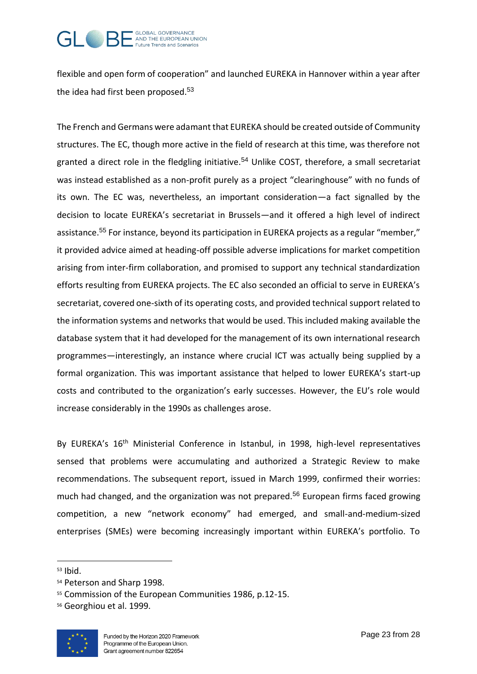

flexible and open form of cooperation" and launched EUREKA in Hannover within a year after the idea had first been proposed.<sup>53</sup>

The French and Germans were adamant that EUREKA should be created outside of Community structures. The EC, though more active in the field of research at this time, was therefore not granted a direct role in the fledgling initiative.<sup>54</sup> Unlike COST, therefore, a small secretariat was instead established as a non-profit purely as a project "clearinghouse" with no funds of its own. The EC was, nevertheless, an important consideration—a fact signalled by the decision to locate EUREKA's secretariat in Brussels—and it offered a high level of indirect assistance.<sup>55</sup> For instance, beyond its participation in EUREKA projects as a regular "member," it provided advice aimed at heading-off possible adverse implications for market competition arising from inter-firm collaboration, and promised to support any technical standardization efforts resulting from EUREKA projects. The EC also seconded an official to serve in EUREKA's secretariat, covered one-sixth of its operating costs, and provided technical support related to the information systems and networks that would be used. This included making available the database system that it had developed for the management of its own international research programmes—interestingly, an instance where crucial ICT was actually being supplied by a formal organization. This was important assistance that helped to lower EUREKA's start-up costs and contributed to the organization's early successes. However, the EU's role would increase considerably in the 1990s as challenges arose.

By EUREKA's 16<sup>th</sup> Ministerial Conference in Istanbul, in 1998, high-level representatives sensed that problems were accumulating and authorized a Strategic Review to make recommendations. The subsequent report, issued in March 1999, confirmed their worries: much had changed, and the organization was not prepared.<sup>56</sup> European firms faced growing competition, a new "network economy" had emerged, and small-and-medium-sized enterprises (SMEs) were becoming increasingly important within EUREKA's portfolio. To

<sup>56</sup> Georghiou et al. 1999.



<sup>53</sup> Ibid.

<sup>54</sup> Peterson and Sharp 1998.

<sup>55</sup> Commission of the European Communities 1986, p.12-15.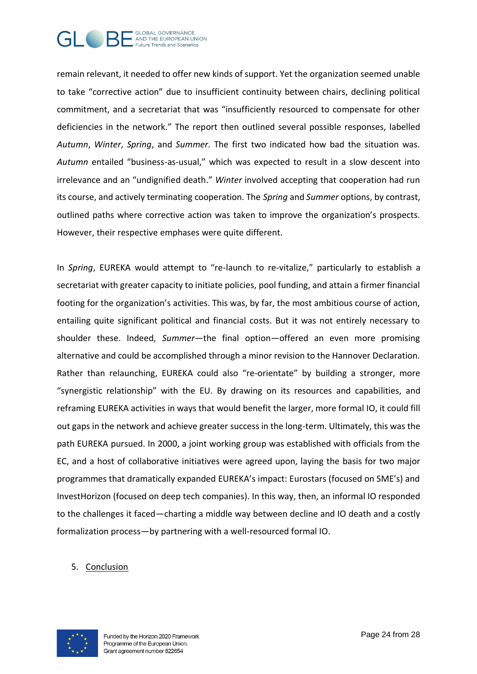

remain relevant, it needed to offer new kinds of support. Yet the organization seemed unable to take "corrective action" due to insufficient continuity between chairs, declining political commitment, and a secretariat that was "insufficiently resourced to compensate for other deficiencies in the network." The report then outlined several possible responses, labelled *Autumn*, *Winter*, *Spring*, and *Summer*. The first two indicated how bad the situation was. *Autumn* entailed "business-as-usual," which was expected to result in a slow descent into irrelevance and an "undignified death." *Winter* involved accepting that cooperation had run its course, and actively terminating cooperation. The *Spring* and *Summer* options, by contrast, outlined paths where corrective action was taken to improve the organization's prospects. However, their respective emphases were quite different.

In *Spring*, EUREKA would attempt to "re-launch to re-vitalize," particularly to establish a secretariat with greater capacity to initiate policies, pool funding, and attain a firmer financial footing for the organization's activities. This was, by far, the most ambitious course of action, entailing quite significant political and financial costs. But it was not entirely necessary to shoulder these. Indeed, *Summer*—the final option—offered an even more promising alternative and could be accomplished through a minor revision to the Hannover Declaration. Rather than relaunching, EUREKA could also "re-orientate" by building a stronger, more "synergistic relationship" with the EU. By drawing on its resources and capabilities, and reframing EUREKA activities in ways that would benefit the larger, more formal IO, it could fill out gaps in the network and achieve greater success in the long-term. Ultimately, this was the path EUREKA pursued. In 2000, a joint working group was established with officials from the EC, and a host of collaborative initiatives were agreed upon, laying the basis for two major programmes that dramatically expanded EUREKA's impact: Eurostars (focused on SME's) and InvestHorizon (focused on deep tech companies). In this way, then, an informal IO responded to the challenges it faced—charting a middle way between decline and IO death and a costly formalization process—by partnering with a well-resourced formal IO.

#### 5. Conclusion

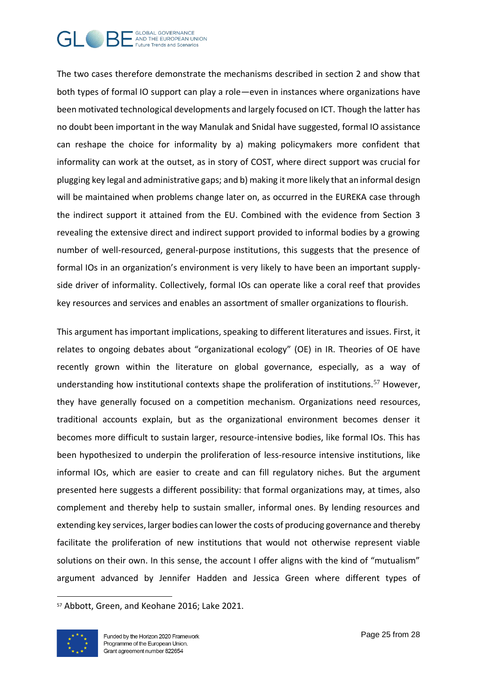

The two cases therefore demonstrate the mechanisms described in section 2 and show that both types of formal IO support can play a role—even in instances where organizations have been motivated technological developments and largely focused on ICT. Though the latter has no doubt been important in the way Manulak and Snidal have suggested, formal IO assistance can reshape the choice for informality by a) making policymakers more confident that informality can work at the outset, as in story of COST, where direct support was crucial for plugging key legal and administrative gaps; and b) making it more likely that an informal design will be maintained when problems change later on, as occurred in the EUREKA case through the indirect support it attained from the EU. Combined with the evidence from Section 3 revealing the extensive direct and indirect support provided to informal bodies by a growing number of well-resourced, general-purpose institutions, this suggests that the presence of formal IOs in an organization's environment is very likely to have been an important supplyside driver of informality. Collectively, formal IOs can operate like a coral reef that provides key resources and services and enables an assortment of smaller organizations to flourish.

This argument has important implications, speaking to different literatures and issues. First, it relates to ongoing debates about "organizational ecology" (OE) in IR. Theories of OE have recently grown within the literature on global governance, especially, as a way of understanding how institutional contexts shape the proliferation of institutions.<sup>57</sup> However, they have generally focused on a competition mechanism. Organizations need resources, traditional accounts explain, but as the organizational environment becomes denser it becomes more difficult to sustain larger, resource-intensive bodies, like formal IOs. This has been hypothesized to underpin the proliferation of less-resource intensive institutions, like informal IOs, which are easier to create and can fill regulatory niches. But the argument presented here suggests a different possibility: that formal organizations may, at times, also complement and thereby help to sustain smaller, informal ones. By lending resources and extending key services, larger bodies can lower the costs of producing governance and thereby facilitate the proliferation of new institutions that would not otherwise represent viable solutions on their own. In this sense, the account I offer aligns with the kind of "mutualism" argument advanced by Jennifer Hadden and Jessica Green where different types of

<sup>57</sup> Abbott, Green, and Keohane 2016; Lake 2021.

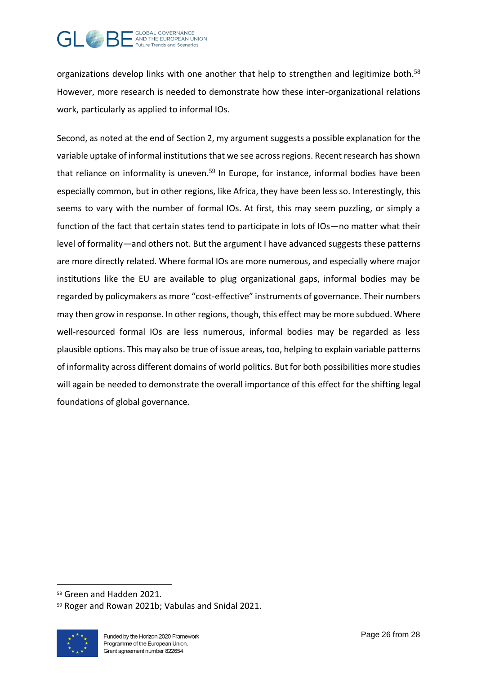

organizations develop links with one another that help to strengthen and legitimize both.<sup>58</sup> However, more research is needed to demonstrate how these inter-organizational relations work, particularly as applied to informal IOs.

Second, as noted at the end of Section 2, my argument suggests a possible explanation for the variable uptake of informal institutions that we see across regions. Recent research has shown that reliance on informality is uneven.<sup>59</sup> In Europe, for instance, informal bodies have been especially common, but in other regions, like Africa, they have been less so. Interestingly, this seems to vary with the number of formal IOs. At first, this may seem puzzling, or simply a function of the fact that certain states tend to participate in lots of IOs—no matter what their level of formality—and others not. But the argument I have advanced suggests these patterns are more directly related. Where formal IOs are more numerous, and especially where major institutions like the EU are available to plug organizational gaps, informal bodies may be regarded by policymakers as more "cost-effective" instruments of governance. Their numbers may then grow in response. In other regions, though, this effect may be more subdued. Where well-resourced formal IOs are less numerous, informal bodies may be regarded as less plausible options. This may also be true of issue areas, too, helping to explain variable patterns of informality across different domains of world politics. But for both possibilities more studies will again be needed to demonstrate the overall importance of this effect for the shifting legal foundations of global governance.

<sup>59</sup> Roger and Rowan 2021b; Vabulas and Snidal 2021.



<sup>58</sup> Green and Hadden 2021.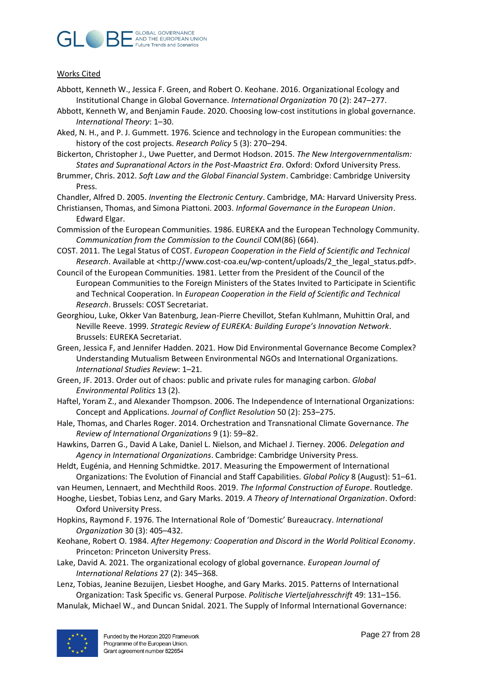

#### Works Cited

- Abbott, Kenneth W., Jessica F. Green, and Robert O. Keohane. 2016. Organizational Ecology and Institutional Change in Global Governance. *International Organization* 70 (2): 247–277.
- Abbott, Kenneth W, and Benjamin Faude. 2020. Choosing low-cost institutions in global governance. *International Theory*: 1–30.
- Aked, N. H., and P. J. Gummett. 1976. Science and technology in the European communities: the history of the cost projects. *Research Policy* 5 (3): 270–294.
- Bickerton, Christopher J., Uwe Puetter, and Dermot Hodson. 2015. *The New Intergovernmentalism: States and Supranational Actors in the Post-Maastrict Era*. Oxford: Oxford University Press.
- Brummer, Chris. 2012. *Soft Law and the Global Financial System*. Cambridge: Cambridge University Press.

Chandler, Alfred D. 2005. *Inventing the Electronic Century*. Cambridge, MA: Harvard University Press.

- Christiansen, Thomas, and Simona Piattoni. 2003. *Informal Governance in the European Union*. Edward Elgar.
- Commission of the European Communities. 1986. EUREKA and the European Technology Community. *Communication from the Commission to the Council* COM(86) (664).
- COST. 2011. The Legal Status of COST. *European Cooperation in the Field of Scientific and Technical Research*. Available at <http://www.cost-coa.eu/wp-content/uploads/2\_the\_legal\_status.pdf>.
- Council of the European Communities. 1981. Letter from the President of the Council of the European Communities to the Foreign Ministers of the States Invited to Participate in Scientific and Technical Cooperation. In *European Cooperation in the Field of Scientific and Technical Research*. Brussels: COST Secretariat.
- Georghiou, Luke, Okker Van Batenburg, Jean-Pierre Chevillot, Stefan Kuhlmann, Muhittin Oral, and Neville Reeve. 1999. *Strategic Review of EUREKA: Building Europe's Innovation Network*. Brussels: EUREKA Secretariat.
- Green, Jessica F, and Jennifer Hadden. 2021. How Did Environmental Governance Become Complex? Understanding Mutualism Between Environmental NGOs and International Organizations. *International Studies Review*: 1–21.
- Green, JF. 2013. Order out of chaos: public and private rules for managing carbon. *Global Environmental Politics* 13 (2).
- Haftel, Yoram Z., and Alexander Thompson. 2006. The Independence of International Organizations: Concept and Applications. *Journal of Conflict Resolution* 50 (2): 253–275.
- Hale, Thomas, and Charles Roger. 2014. Orchestration and Transnational Climate Governance. *The Review of International Organizations* 9 (1): 59–82.
- Hawkins, Darren G., David A Lake, Daniel L. Nielson, and Michael J. Tierney. 2006. *Delegation and Agency in International Organizations*. Cambridge: Cambridge University Press.

Heldt, Eugénia, and Henning Schmidtke. 2017. Measuring the Empowerment of International Organizations: The Evolution of Financial and Staff Capabilities. *Global Policy* 8 (August): 51–61.

van Heumen, Lennaert, and Mechthild Roos. 2019. *The Informal Construction of Europe*. Routledge.

- Hooghe, Liesbet, Tobias Lenz, and Gary Marks. 2019. *A Theory of International Organization*. Oxford: Oxford University Press.
- Hopkins, Raymond F. 1976. The International Role of 'Domestic' Bureaucracy. *International Organization* 30 (3): 405–432.
- Keohane, Robert O. 1984. *After Hegemony: Cooperation and Discord in the World Political Economy*. Princeton: Princeton University Press.
- Lake, David A. 2021. The organizational ecology of global governance. *European Journal of International Relations* 27 (2): 345–368.
- Lenz, Tobias, Jeanine Bezuijen, Liesbet Hooghe, and Gary Marks. 2015. Patterns of International Organization: Task Specific vs. General Purpose. *Politische Vierteljahresschrift* 49: 131–156.
- Manulak, Michael W., and Duncan Snidal. 2021. The Supply of Informal International Governance: